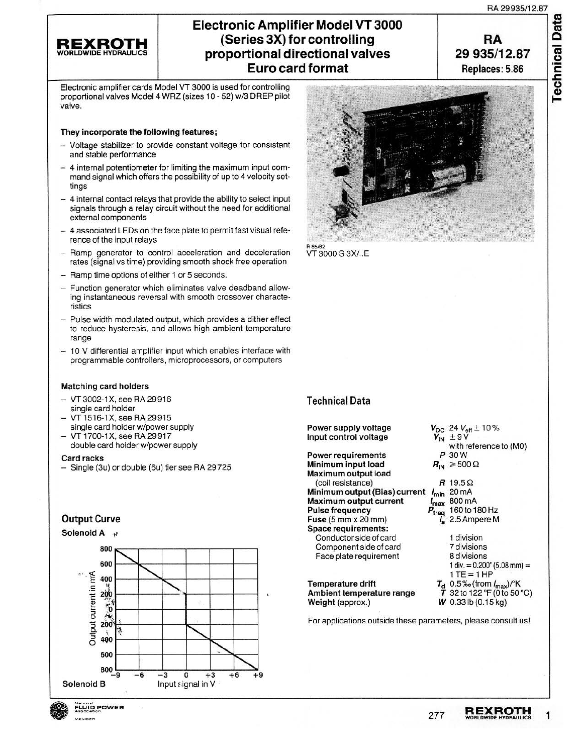**Technical Data** 

#### **REXROTH** HYDRAULIC

# **Electronic Amplifier Model VT 3000 (Series** 3X) **for controlling proportional directional valves Eurocard format**



Electronic amplifier cards Model VT 3000 is used for controlling proportional valves Model 4 WRZ (sizes 10 - 52) w/3 DREP pilot valve.

#### They incorporate the following features;

- Voltage stabilizer to provide constant voltage for consistant and stable performance
- 4 internal potentiometer for limiting the maximum input command signal which offers the possibility of up to 4 velocity settings
- 4 internal contact relays that provide the ability to select input signals through a relay circuit without the need for additional external components
- 4 associated LEOs on the face plate to permit fast visual reference of the input relays
- Ramp generator to control acceleration and deceleration rates (signal vs time) providing smooth shock free operation
- Ramp time options of either 1 or 5 seconds.
- Function generator which eliminates valve deadband allowing instantaneous reversal with smooth crossover characteristics
- Pulse width modulated output, which provides a dither effect to reduce hysteresis, and allows high ambient temperature range
- 10 V differential amplifier input which enables interface with programmable controllers, microprocessors, or computers

#### Matching card holders

- VT 3002-1X, see RA 29916 single card holder
- VT 1516-1X, see RA 29915 single card holder w/power supply
- VT 1700-1X, see RA 29917 double card holder w/power supply

#### Card racks

- Single (3u) or double (6u) tier see RA 29 725

### Output Curve

Solenoid A







R85/62<br>VT 3000 S 3X/..E

#### Technical Data

Power supply voltage Input control voltage

Power requirements Minimum Input load Maximum output load (coil resistance) Minimum output (Bias) current *I<sub>min</sub> 20* mA Maximum output current Pulse frequency Fuse (5 mm x 20 mm) Space requirements: Conductor side of card Component side of card Face plate requirement

Temperature drift Ambient temperature range Weight (approx.)

For applications outside these parameters, please consult us!



*R* 19.5Q  $\frac{I_{\text{max}}}{P_{\text{freq}}}$  160 to 1 160 to 180 Hz / 2.5 Ampere M

> 1 division 7divisions 8divisions 1 div. =  $0.200$ " (5.08 mm) =  $1TE = 1 HP$  $T_{\rm d}$  0.5% (from  $I_{\rm max}$ )/K  $\bar{T}$  32 to 122 °F (0 to 50 °C) *w* 0.331b (0.15 kg)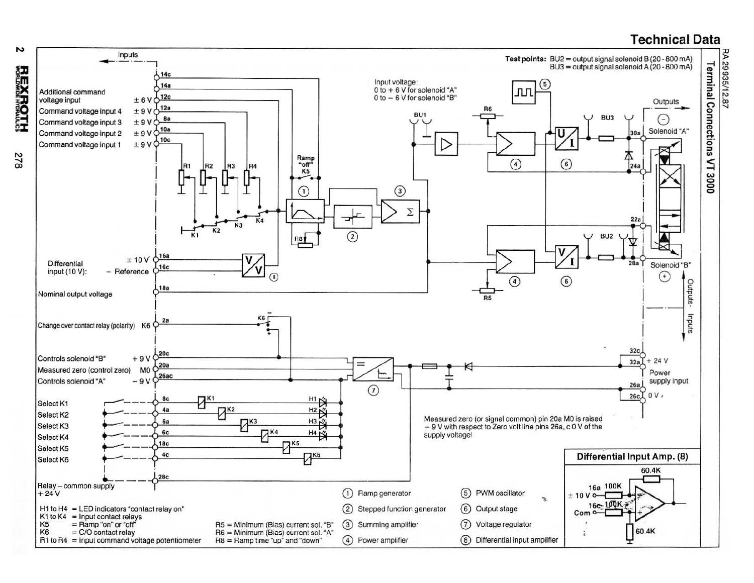# **Technical Data**



**8**/2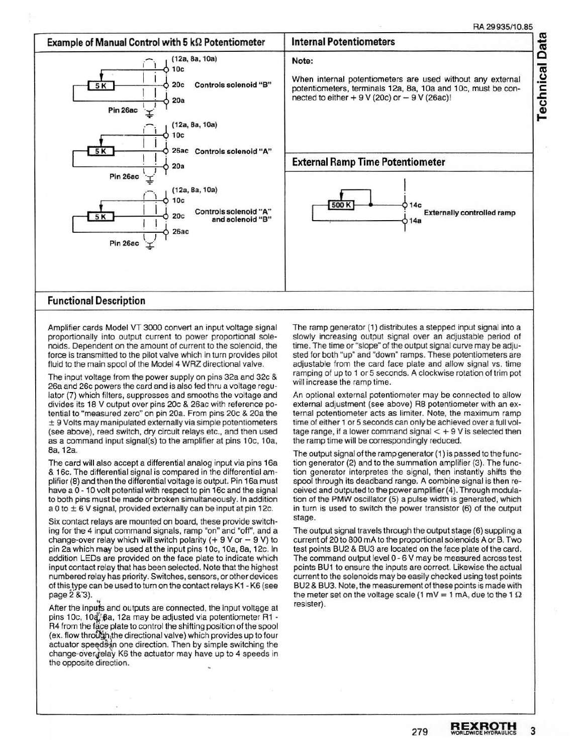m

 $\overline{\mathbf{g}}$ 



Amplifier cards Model VT 3000 convert an input voltage signal proportionally into output current to power proportional solenoids. Dependent on the amount of current to the solenoid, the force is transmitted to the pilot valve which in turn provides pilot fluid to the main spool of the Model 4 WRZ directional valve.

The input voltage from the power supply on pins 32a and 32c & 26a and 26c powers the card and is also fed thru a voltage regulator (7) which filters, suppresses and smooths the voltage and divides its 1S V output over pins 20c & 26ac with reference potential to "measured zero" on pin 20a. From pins 20c & 20a the ± 9 Volts may manipulated externally via simple potentiometers (see above), reed switch, dry circuit relays etc., and then used as a command input signal(s) to the amplifier at pins 10c, 10a, Sa, 12a.

The card will also accept a differential analog input via pins 16a & 16c. The differential signal is compared in the differential amplifier (S) and then the differential voltage is output. Pin 16a must have a 0 - 10 volt potential with respect to pin 16c and the signal to both pins must be made or broken simultaneously. In addition a 0 to  $\pm$  6 V signal, provided externally can be input at pin 12c.

Six contact relays are mounted on board, these provide switching for the 4 input command signals, ramp "on" and "off", and a change-over relay which will switch polarity  $( + 9 V or - 9 V)$  to pin 2a which may be used at the input pins 10c, 10a, 8a, 12c. In addition LEOs are provided on the face plate to indicate which input contact relay that has been selected. Note that the highest numbered relay has priority. Switches, sensors, or other devices of this type can be used to turn on the contact relays K1 - K6 (see page 2 & 3).

After the inputs and outputs are connected, the input voltage at pins 10c, 10a, Ba, 12a may be adjusted via potentiometer R1 -R4 from the face plate to control the shifting position of the spool (ex. flow through, the directional valve) which provides up to four actuator speedS-in one direction. Then by simple switching the change-over.jelay K6 the actuator may have up to 4 speeds in the opposite direction.

The ramp generator (1) distributes a stepped input signal into a slowly increasing output signal over an adjustable period of time. The time or "slope" of the output signal curve may be adjusted for both "up" and "down" ramps. These potentiometers are adjustable from the card face plate and allow signal vs. time ramping of up to 1 or 5 seconds. A clockwise rotation of trim pot will increase the ramp time.

An optional external potentiometer may be connected to allow external adjustment (see above) R8 potentiometer with an external potentiometer acts as limiter. Note, the maximum ramp time of either 1 or 5 seconds can only be achieved over a full voltage range, if a lower command signal  $< +9$  V is selected then the ramp time will be correspondingly reduced.

The output signal of the ramp generator (1) is passed to the function generator (2) and to the summation amplifier (3}. The function generator interpretes the signal, then instantly shifts the spool through its deadband range. A combine signal is then received and outputed to the power amplifier (4). Through modulation of the PMW oscillator (5} a pulse width is generated, which in turn is used to switch the power transistor (6) of the output stage.

The output signal travels through the output stage (6) suppling a current of 20 to 800 rnA to the proportional solenoids A or B. Two test points BU2 & BU3 are located on the face plate of the card. The command output level 0 - 6 V may be measured across test points BU1 to ensure the inputs are correct. Likewise the actual current to the solenoids may be easily checked using test points BU2 & BU3. Note, the measurement of these points is made with the meter set on the voltage scale (1 mV = 1 mA, due to the 1  $\Omega$ resister).

279 **REXROTH** 3